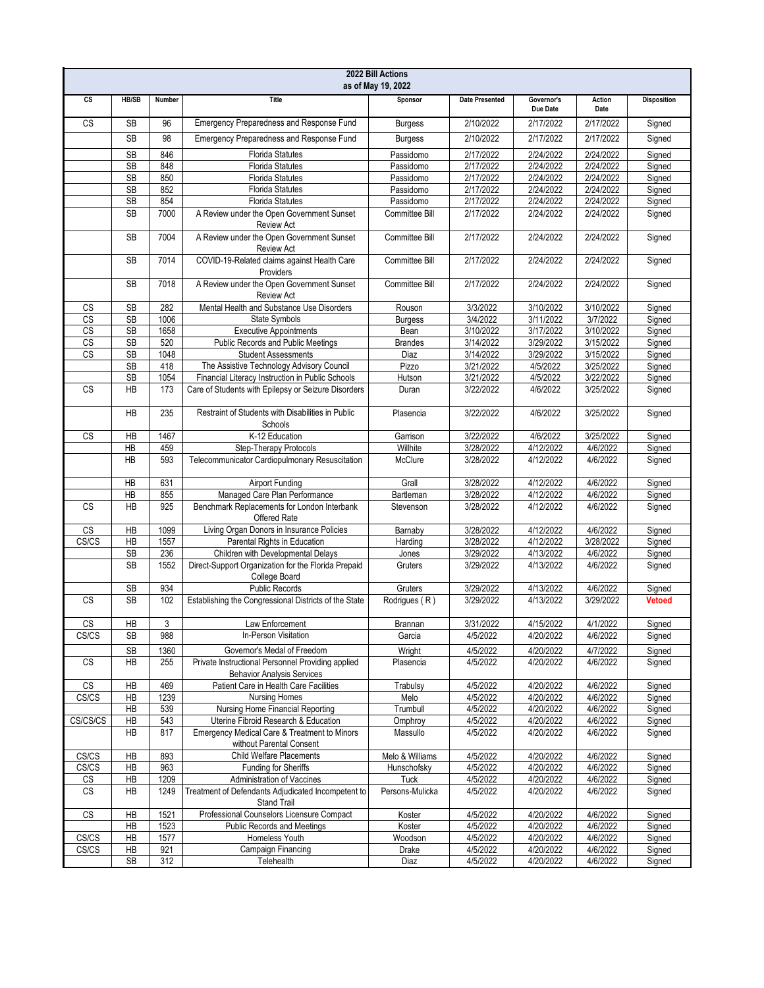| 2022 Bill Actions<br>as of May 19, 2022 |              |        |                                                                                        |                       |                       |                        |                |                    |
|-----------------------------------------|--------------|--------|----------------------------------------------------------------------------------------|-----------------------|-----------------------|------------------------|----------------|--------------------|
| cs                                      | <b>HB/SB</b> | Number | <b>Title</b>                                                                           | Sponsor               | <b>Date Presented</b> | Governor's<br>Due Date | Action<br>Date | <b>Disposition</b> |
| $\overline{\text{cs}}$                  | <b>SB</b>    | 96     | Emergency Preparedness and Response Fund                                               | <b>Burgess</b>        | 2/10/2022             | 2/17/2022              | 2/17/2022      | Signed             |
|                                         | <b>SB</b>    | 98     | Emergency Preparedness and Response Fund                                               | <b>Burgess</b>        | 2/10/2022             | 2/17/2022              | 2/17/2022      | Signed             |
|                                         | SB           | 846    | <b>Florida Statutes</b>                                                                | Passidomo             | 2/17/2022             | 2/24/2022              | 2/24/2022      | Signed             |
|                                         | <b>SB</b>    | 848    | <b>Florida Statutes</b>                                                                | Passidomo             | 2/17/2022             | 2/24/2022              | 2/24/2022      | Signed             |
|                                         | SB           | 850    | <b>Florida Statutes</b>                                                                | Passidomo             | 2/17/2022             | 2/24/2022              | 2/24/2022      | Signed             |
|                                         | <b>SB</b>    | 852    | <b>Florida Statutes</b>                                                                | Passidomo             | 2/17/2022             | 2/24/2022              | 2/24/2022      | Signed             |
|                                         | SB           | 854    | <b>Florida Statutes</b>                                                                | Passidomo             | 2/17/2022             | 2/24/2022              | 2/24/2022      | Signed             |
|                                         | <b>SB</b>    | 7000   | A Review under the Open Government Sunset<br><b>Review Act</b>                         | Committee Bill        | 2/17/2022             | 2/24/2022              | 2/24/2022      | Signed             |
|                                         | <b>SB</b>    | 7004   | A Review under the Open Government Sunset<br><b>Review Act</b>                         | Committee Bill        | 2/17/2022             | 2/24/2022              | 2/24/2022      | Signed             |
|                                         | <b>SB</b>    | 7014   | COVID-19-Related claims against Health Care<br>Providers                               | Committee Bill        | 2/17/2022             | 2/24/2022              | 2/24/2022      | Signed             |
|                                         | <b>SB</b>    | 7018   | A Review under the Open Government Sunset<br><b>Review Act</b>                         | <b>Committee Bill</b> | 2/17/2022             | 2/24/2022              | 2/24/2022      | Signed             |
| CS                                      | <b>SB</b>    | 282    | Mental Health and Substance Use Disorders                                              | Rouson                | 3/3/2022              | 3/10/2022              | 3/10/2022      | Signed             |
| CS                                      | <b>SB</b>    | 1006   | State Symbols                                                                          | <b>Burgess</b>        | 3/4/2022              | 3/11/2022              | 3/7/2022       | Signed             |
| $\overline{\text{CS}}$                  | <b>SB</b>    | 1658   | <b>Executive Appointments</b>                                                          | Bean                  | 3/10/2022             | 3/17/2022              | 3/10/2022      | Signed             |
| CS                                      | SB           | 520    | Public Records and Public Meetings                                                     | <b>Brandes</b>        | 3/14/2022             | 3/29/2022              | 3/15/2022      | Signed             |
| CS                                      | <b>SB</b>    | 1048   | <b>Student Assessments</b>                                                             | Diaz                  | 3/14/2022             | 3/29/2022              | 3/15/2022      | Signed             |
|                                         | SB           | 418    | The Assistive Technology Advisory Council                                              | Pizzo                 | 3/21/2022             | 4/5/2022               | 3/25/2022      | Signed             |
|                                         | <b>SB</b>    | 1054   | Financial Literacy Instruction in Public Schools                                       | Hutson                | 3/21/2022             | 4/5/2022               | 3/22/2022      | Signed             |
| $\mathbb{C}\mathbb{S}$                  | <b>HB</b>    | 173    | Care of Students with Epilepsy or Seizure Disorders                                    | Duran                 | 3/22/2022             | 4/6/2022               | 3/25/2022      | Signed             |
|                                         | <b>HB</b>    | 235    | Restraint of Students with Disabilities in Public<br>Schools                           | Plasencia             | 3/22/2022             | 4/6/2022               | 3/25/2022      | Signed             |
| <b>CS</b>                               | HB           | 1467   | K-12 Education                                                                         | Garrison              | 3/22/2022             | 4/6/2022               | 3/25/2022      | Signed             |
|                                         | <b>HB</b>    | 459    | Step-Therapy Protocols                                                                 | Willhite              | 3/28/2022             | 4/12/2022              | 4/6/2022       | Signed             |
|                                         | <b>HB</b>    | 593    | Telecommunicator Cardiopulmonary Resuscitation                                         | McClure               | 3/28/2022             | 4/12/2022              | 4/6/2022       | Signed             |
|                                         | HB           | 631    | <b>Airport Funding</b>                                                                 | Grall                 | 3/28/2022             | 4/12/2022              | 4/6/2022       | Signed             |
|                                         | HB           | 855    | Managed Care Plan Performance                                                          | Bartleman             | 3/28/2022             | 4/12/2022              | 4/6/2022       | Signed             |
| <b>CS</b>                               | <b>HB</b>    | 925    | Benchmark Replacements for London Interbank<br>Offered Rate                            | Stevenson             | 3/28/2022             | 4/12/2022              | 4/6/2022       | Signed             |
| CS                                      | HB           | 1099   | Living Organ Donors in Insurance Policies                                              | Barnaby               | 3/28/2022             | 4/12/2022              | 4/6/2022       | Signed             |
| CS/CS                                   | HB           | 1557   | Parental Rights in Education                                                           | Harding               | 3/28/2022             | 4/12/2022              | 3/28/2022      | Signed             |
|                                         | <b>SB</b>    | 236    | Children with Developmental Delays                                                     | Jones                 | 3/29/2022             | 4/13/2022              | 4/6/2022       | Signed             |
|                                         | <b>SB</b>    | 1552   | Direct-Support Organization for the Florida Prepaid<br>College Board                   | Gruters               | 3/29/2022             | 4/13/2022              | 4/6/2022       | Signed             |
|                                         | <b>SB</b>    | 934    | <b>Public Records</b>                                                                  | Gruters               | 3/29/2022             | 4/13/2022              | 4/6/2022       | Signed             |
| <b>CS</b>                               | <b>SB</b>    | 102    | Establishing the Congressional Districts of the State                                  | Rodrigues (R)         | 3/29/2022             | 4/13/2022              | 3/29/2022      | <b>Vetoed</b>      |
| <b>CS</b>                               | HB           | 3      | Law Enforcement                                                                        | <b>Brannan</b>        | 3/31/2022             | 4/15/2022              | 4/1/2022       | Signed             |
| CS/CS                                   | SB           | 988    | In-Person Visitation                                                                   | Garcia                | 4/5/2022              | 4/20/2022              | 4/6/2022       | Signed             |
|                                         | <b>SB</b>    | 1360   | Governor's Medal of Freedom                                                            | Wright                | 4/5/2022              | 4/20/2022              | 4/7/2022       | Signed             |
| CS                                      | НB           | 255    | Private Instructional Personnel Providing applied<br><b>Behavior Analysis Services</b> | Plasencia             | 4/5/2022              | 4/20/2022              | 4/6/2022       | Signed             |
| CS                                      | НB           | 469    | Patient Care in Health Care Facilities                                                 | Trabulsy              | 4/5/2022              | 4/20/2022              | 4/6/2022       | Signed             |
| CS/CS                                   | HB           | 1239   | <b>Nursing Homes</b>                                                                   | Melo                  | 4/5/2022              | 4/20/2022              | 4/6/2022       | Signed             |
|                                         | HB           | 539    | Nursing Home Financial Reporting                                                       | Trumbull              | 4/5/2022              | 4/20/2022              | 4/6/2022       | Signed             |
| CS/CS/CS                                | HB           | 543    | Uterine Fibroid Research & Education                                                   | Omphroy               | 4/5/2022              | 4/20/2022              | 4/6/2022       | Signed             |
|                                         | HB           | 817    | Emergency Medical Care & Treatment to Minors<br>without Parental Consent               | Massullo              | 4/5/2022              | 4/20/2022              | 4/6/2022       | Signed             |
| CS/CS                                   | HB           | 893    | <b>Child Welfare Placements</b>                                                        | Melo & Williams       | 4/5/2022              | 4/20/2022              | 4/6/2022       | Signed             |
| CS/CS                                   | HB           | 963    | <b>Funding for Sheriffs</b>                                                            | Hunschofsky           | 4/5/2022              | 4/20/2022              | 4/6/2022       | Signed             |
| CS                                      | HB           | 1209   | Administration of Vaccines                                                             | Tuck                  | 4/5/2022              | 4/20/2022              | 4/6/2022       | Signed             |
| $\mathbb{C}\mathbb{S}$                  | HB           | 1249   | Treatment of Defendants Adjudicated Incompetent to<br>Stand Trail                      | Persons-Mulicka       | 4/5/2022              | 4/20/2022              | 4/6/2022       | Signed             |
| $\overline{\text{CS}}$                  | HB           | 1521   | Professional Counselors Licensure Compact                                              | Koster                | 4/5/2022              | 4/20/2022              | 4/6/2022       | Signed             |
|                                         | HB           | 1523   | <b>Public Records and Meetings</b>                                                     | Koster                | 4/5/2022              | 4/20/2022              | 4/6/2022       | Signed             |
| CS/CS                                   | HB           | 1577   | Homeless Youth                                                                         | Woodson               | 4/5/2022              | 4/20/2022              | 4/6/2022       | Signed             |
| CS/CS                                   | HB           | 921    | Campaign Financing                                                                     | Drake                 | 4/5/2022              | 4/20/2022              | 4/6/2022       | Signed             |
|                                         | <b>SB</b>    | 312    | Telehealth                                                                             | Diaz                  | 4/5/2022              | 4/20/2022              | 4/6/2022       | Signed             |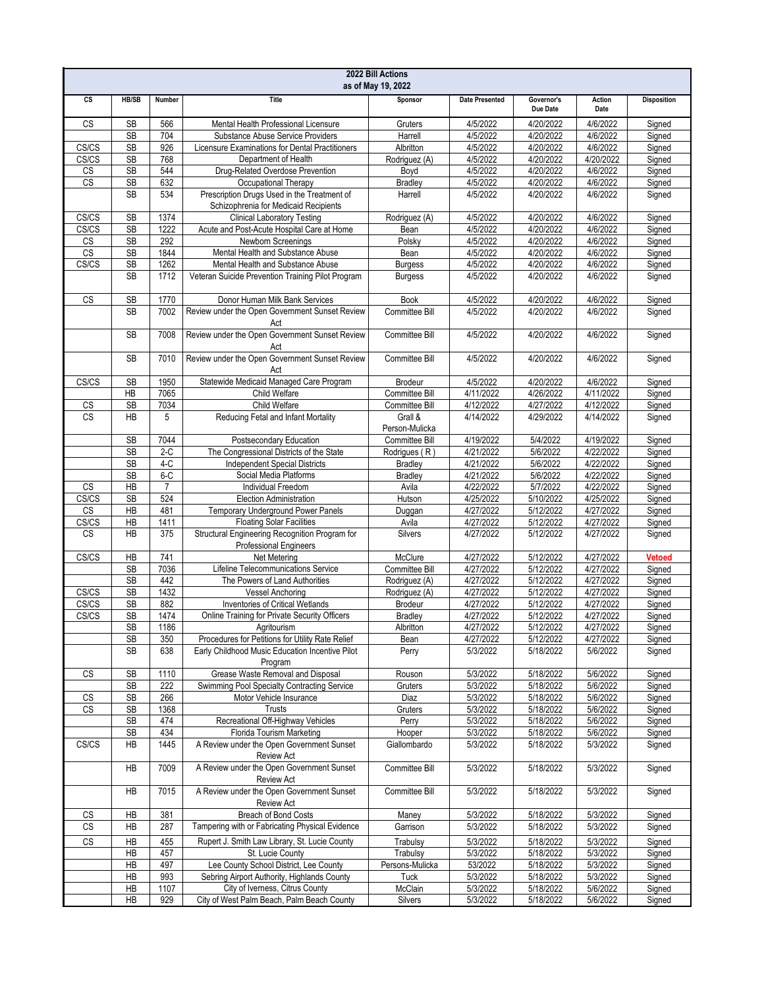| 2022 Bill Actions<br>as of May 19, 2022 |                 |                         |                                                                                                     |                           |                        |                        |                        |                    |
|-----------------------------------------|-----------------|-------------------------|-----------------------------------------------------------------------------------------------------|---------------------------|------------------------|------------------------|------------------------|--------------------|
| cs                                      | <b>HB/SB</b>    | Number                  | <b>Title</b>                                                                                        | Sponsor                   | <b>Date Presented</b>  | Governor's<br>Due Date | Action<br>Date         | <b>Disposition</b> |
| CS                                      | <b>SB</b>       | 566                     | Mental Health Professional Licensure                                                                | Gruters                   | 4/5/2022               | 4/20/2022              | 4/6/2022               | Signed             |
|                                         | <b>SB</b>       | 704                     | Substance Abuse Service Providers                                                                   | Harrell                   | 4/5/2022               | 4/20/2022              | 4/6/2022               | Signed             |
| CS/CS                                   | <b>SB</b>       | 926                     | Licensure Examinations for Dental Practitioners                                                     | Albritton                 | 4/5/2022               | 4/20/2022              | 4/6/2022               | Signed             |
| CS/CS                                   | <b>SB</b>       | 768                     | Department of Health                                                                                | Rodriguez (A)             | 4/5/2022               | 4/20/2022              | 4/20/2022              | Signed             |
| CS                                      | <b>SB</b>       | 544                     | Drug-Related Overdose Prevention                                                                    | Boyd                      | 4/5/2022               | 4/20/2022              | 4/6/2022               | Signed             |
| CS                                      | <b>SB</b>       | 632                     | Occupational Therapy                                                                                | Bradley                   | 4/5/2022               | 4/20/2022              | 4/6/2022               | Signed             |
|                                         | <b>SB</b>       | 534                     | Prescription Drugs Used in the Treatment of<br>Schizophrenia for Medicaid Recipients                | Harrell                   | 4/5/2022               | 4/20/2022              | 4/6/2022               | Signed             |
| CS/CS                                   | <b>SB</b>       | 1374                    | <b>Clinical Laboratory Testing</b>                                                                  | Rodriguez (A)             | 4/5/2022               | 4/20/2022              | 4/6/2022               | Signed             |
| CS/CS                                   | <b>SB</b>       | 1222                    | Acute and Post-Acute Hospital Care at Home                                                          | Bean                      | 4/5/2022               | 4/20/2022              | 4/6/2022               | Signed             |
| CS<br>CS                                | <b>SB</b><br>SB | 292<br>1844             | Newborn Screenings<br>Mental Health and Substance Abuse                                             | Polsky<br>Bean            | 4/5/2022<br>4/5/2022   | 4/20/2022<br>4/20/2022 | 4/6/2022<br>4/6/2022   | Signed<br>Signed   |
| CS/CS                                   | <b>SB</b>       | 1262                    | Mental Health and Substance Abuse                                                                   | <b>Burgess</b>            | 4/5/2022               | 4/20/2022              | 4/6/2022               | Signed             |
|                                         | <b>SB</b>       | 1712                    | Veteran Suicide Prevention Training Pilot Program                                                   | <b>Burgess</b>            | 4/5/2022               | 4/20/2022              | 4/6/2022               | Signed             |
| CS                                      | <b>SB</b>       | 1770                    | Donor Human Milk Bank Services                                                                      | <b>Book</b>               | 4/5/2022               | 4/20/2022              | 4/6/2022               | Signed             |
|                                         | <b>SB</b>       | 7002                    | Review under the Open Government Sunset Review                                                      | Committee Bill            | 4/5/2022               | 4/20/2022              | 4/6/2022               | Signed             |
|                                         | <b>SB</b>       | 7008                    | Act<br>Review under the Open Government Sunset Review                                               | Committee Bill            | 4/5/2022               | 4/20/2022              | 4/6/2022               | Signed             |
|                                         |                 |                         | Act                                                                                                 |                           |                        |                        |                        |                    |
|                                         | <b>SB</b>       | 7010                    | Review under the Open Government Sunset Review<br>Act                                               | Committee Bill            | 4/5/2022               | 4/20/2022              | 4/6/2022               | Signed             |
| CS/CS                                   | <b>SB</b>       | 1950                    | Statewide Medicaid Managed Care Program                                                             | Brodeur                   | 4/5/2022               | 4/20/2022              | 4/6/2022               | Signed             |
|                                         | <b>HB</b>       | 7065                    | Child Welfare                                                                                       | Committee Bill            | 4/11/2022              | 4/26/2022              | 4/11/2022              | Signed             |
| $\mathbb{C}\mathbb{S}$                  | <b>SB</b>       | 7034                    | Child Welfare                                                                                       | Committee Bill            | 4/12/2022              | 4/27/2022              | 4/12/2022              | Signed             |
| <b>CS</b>                               | НB              | 5                       | Reducing Fetal and Infant Mortality                                                                 | Grall &<br>Person-Mulicka | 4/14/2022              | 4/29/2022              | 4/14/2022              | Signed             |
|                                         | <b>SB</b>       | 7044                    | Postsecondary Education                                                                             | Committee Bill            | 4/19/2022              | 5/4/2022               | 4/19/2022              | Signed             |
|                                         | <b>SB</b>       | $2-C$                   | The Congressional Districts of the State                                                            | Rodrigues (R)             | 4/21/2022              | 5/6/2022               | 4/22/2022              | Signed             |
|                                         | SB              | $4-C$                   | <b>Independent Special Districts</b>                                                                | <b>Bradley</b>            | 4/21/2022              | 5/6/2022               | 4/22/2022              | Signed             |
|                                         | <b>SB</b>       | $6-C$<br>$\overline{7}$ | Social Media Platforms<br>Individual Freedom                                                        | <b>Bradley</b>            | 4/21/2022              | 5/6/2022               | 4/22/2022              | Signed             |
| CS<br>CS/CS                             | ΗB<br><b>SB</b> | 524                     | <b>Election Administration</b>                                                                      | Avila<br>Hutson           | 4/22/2022<br>4/25/2022 | 5/7/2022<br>5/10/2022  | 4/22/2022<br>4/25/2022 | Signed<br>Signed   |
| CS                                      | ΗB              | 481                     | Temporary Underground Power Panels                                                                  | Duggan                    | 4/27/2022              | 5/12/2022              | 4/27/2022              | Signed             |
| CS/CS                                   | HB              | 1411                    | <b>Floating Solar Facilities</b>                                                                    | Avila                     | 4/27/2022              | 5/12/2022              | 4/27/2022              | Signed             |
| <b>CS</b>                               | <b>HB</b>       | 375                     | Structural Engineering Recognition Program for<br><b>Professional Engineers</b>                     | <b>Silvers</b>            | 4/27/2022              | 5/12/2022              | 4/27/2022              | Signed             |
| CS/CS                                   | HB              | 741                     | Net Metering                                                                                        | McClure                   | 4/27/2022              | 5/12/2022              | 4/27/2022              | <b>Vetoed</b>      |
|                                         | <b>SB</b>       | 7036                    | Lifeline Telecommunications Service                                                                 | Committee Bill            | 4/27/2022              | 5/12/2022              | 4/27/2022              | Signed             |
|                                         | <b>SB</b>       | 442                     | The Powers of Land Authorities                                                                      | Rodriguez (A)             | 4/27/2022              | 5/12/2022              | 4/27/2022              | Signed             |
| CS/CS                                   | <b>SB</b>       | 1432                    | <b>Vessel Anchoring</b>                                                                             | Rodriguez (A)             | 4/27/2022              | 5/12/2022              | 4/27/2022              | Signed             |
| CS/CS                                   | <b>SB</b>       | 882                     | <b>Inventories of Critical Wetlands</b>                                                             | Brodeur                   | 4/27/2022              | 5/12/2022              | 4/27/2022              | Signed             |
| CS/CS                                   | <b>SB</b>       | 1474                    | Online Training for Private Security Officers                                                       | <b>Bradley</b>            | 4/27/2022              | 5/12/2022              | 4/27/2022              | Signed             |
|                                         | SВ              | 1186                    | Agritourism                                                                                         | Albritton                 | 4/27/2022              | 5/12/2022              | 4/27/2022              | Signed             |
|                                         | <b>SB</b><br>SB | 350<br>638              | Procedures for Petitions for Utility Rate Relief<br>Early Childhood Music Education Incentive Pilot | Bean<br>Perry             | 4/27/2022<br>5/3/2022  | 5/12/2022<br>5/18/2022 | 4/27/2022<br>5/6/2022  | Signed<br>Signed   |
|                                         |                 |                         | Program                                                                                             |                           |                        |                        |                        |                    |
| CS                                      | SB              | 1110                    | Grease Waste Removal and Disposal                                                                   | Rouson                    | 5/3/2022               | 5/18/2022              | 5/6/2022               | Signed             |
|                                         | <b>SB</b>       | 222                     | Swimming Pool Specialty Contracting Service                                                         | Gruters                   | 5/3/2022               | 5/18/2022              | 5/6/2022               | Signed             |
| CS<br><b>CS</b>                         | SB              | 266                     | Motor Vehicle Insurance<br>Trusts                                                                   | Diaz                      | 5/3/2022<br>5/3/2022   | 5/18/2022              | 5/6/2022               | Signed             |
|                                         | SB<br>SB        | 1368<br>474             | Recreational Off-Highway Vehicles                                                                   | Gruters<br>Perry          | 5/3/2022               | 5/18/2022<br>5/18/2022 | 5/6/2022<br>5/6/2022   | Signed<br>Signed   |
|                                         | SB              | 434                     | Florida Tourism Marketing                                                                           | Hooper                    | 5/3/2022               | 5/18/2022              | 5/6/2022               | Signed             |
| CS/CS                                   | НB              | 1445                    | A Review under the Open Government Sunset                                                           | Giallombardo              | 5/3/2022               | 5/18/2022              | 5/3/2022               | Signed             |
|                                         | НB              | 7009                    | <b>Review Act</b><br>A Review under the Open Government Sunset                                      | Committee Bill            | 5/3/2022               | 5/18/2022              | 5/3/2022               | Signed             |
|                                         | HB              | 7015                    | <b>Review Act</b><br>A Review under the Open Government Sunset                                      | Committee Bill            | 5/3/2022               | 5/18/2022              | 5/3/2022               | Signed             |
|                                         |                 |                         | <b>Review Act</b>                                                                                   |                           |                        |                        |                        |                    |
| CS<br><b>CS</b>                         | HB              | 381                     | Breach of Bond Costs                                                                                | Maney                     | 5/3/2022               | 5/18/2022              | 5/3/2022               | Signed             |
|                                         | HB              | 287                     | Tampering with or Fabricating Physical Evidence                                                     | Garrison                  | 5/3/2022               | 5/18/2022              | 5/3/2022               | Signed             |
| CS                                      | HB              | 455                     | Rupert J. Smith Law Library, St. Lucie County                                                       | Trabulsy                  | 5/3/2022               | 5/18/2022              | 5/3/2022               | Signed             |
|                                         | HB              | 457                     | St. Lucie County                                                                                    | Trabulsy                  | 5/3/2022               | 5/18/2022              | 5/3/2022               | Signed             |
|                                         | HB<br>HB        | 497<br>993              | Lee County School District, Lee County<br>Sebring Airport Authority, Highlands County               | Persons-Mulicka<br>Tuck   | 53/2022<br>5/3/2022    | 5/18/2022<br>5/18/2022 | 5/3/2022<br>5/3/2022   | Signed             |
|                                         | НB              | 1107                    | City of Iverness, Citrus County                                                                     | McClain                   | 5/3/2022               | 5/18/2022              | 5/6/2022               | Signed<br>Signed   |
|                                         | HB              | 929                     | City of West Palm Beach, Palm Beach County                                                          | Silvers                   | 5/3/2022               | 5/18/2022              | 5/6/2022               | Signed             |
|                                         |                 |                         |                                                                                                     |                           |                        |                        |                        |                    |